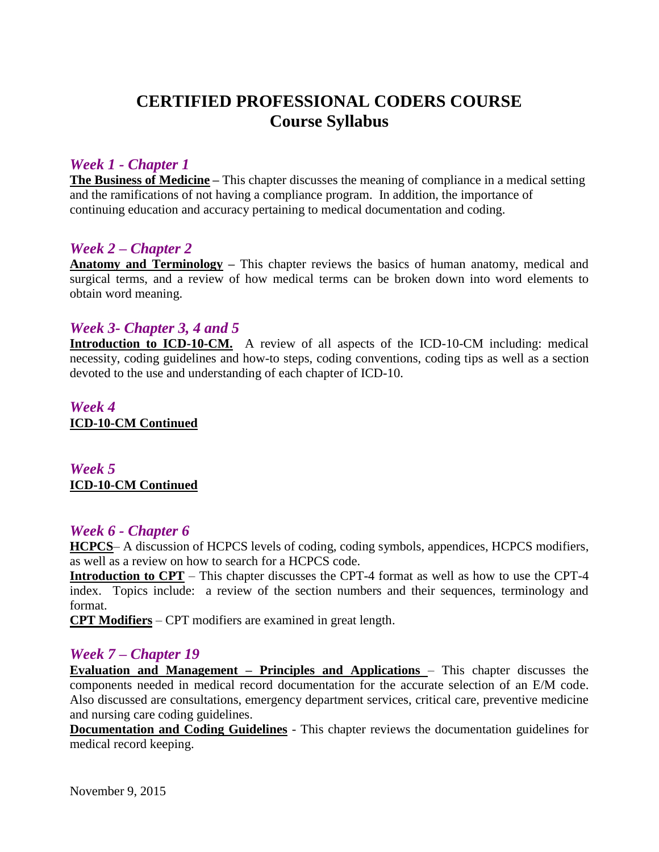# **CERTIFIED PROFESSIONAL CODERS COURSE Course Syllabus**

## *Week 1 - Chapter 1*

**The Business of Medicine –** This chapter discusses the meaning of compliance in a medical setting and the ramifications of not having a compliance program. In addition, the importance of continuing education and accuracy pertaining to medical documentation and coding.

## *Week 2 – Chapter 2*

**Anatomy and Terminology –** This chapter reviews the basics of human anatomy, medical and surgical terms, and a review of how medical terms can be broken down into word elements to obtain word meaning.

## *Week 3- Chapter 3, 4 and 5*

**Introduction to ICD-10-CM.** A review of all aspects of the ICD-10-CM including: medical necessity, coding guidelines and how-to steps, coding conventions, coding tips as well as a section devoted to the use and understanding of each chapter of ICD-10.

*Week 4* **ICD-10-CM Continued**

*Week 5* **ICD-10-CM Continued**

#### *Week 6 - Chapter 6*

**HCPCS**– A discussion of HCPCS levels of coding, coding symbols, appendices, HCPCS modifiers, as well as a review on how to search for a HCPCS code.

**Introduction to CPT** – This chapter discusses the CPT-4 format as well as how to use the CPT-4 index. Topics include: a review of the section numbers and their sequences, terminology and format.

**CPT Modifiers** – CPT modifiers are examined in great length.

#### *Week 7 – Chapter 19*

**Evaluation and Management – Principles and Applications** – This chapter discusses the components needed in medical record documentation for the accurate selection of an E/M code. Also discussed are consultations, emergency department services, critical care, preventive medicine and nursing care coding guidelines.

**Documentation and Coding Guidelines** - This chapter reviews the documentation guidelines for medical record keeping.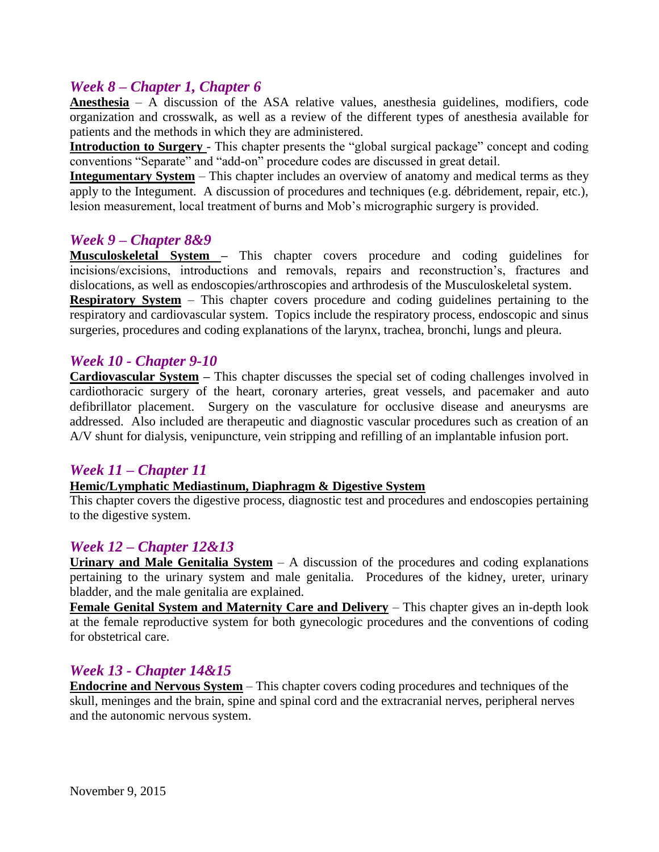## *Week 8 – Chapter 1, Chapter 6*

**Anesthesia** – A discussion of the ASA relative values, anesthesia guidelines, modifiers, code organization and crosswalk, as well as a review of the different types of anesthesia available for patients and the methods in which they are administered.

**Introduction to Surgery** - This chapter presents the "global surgical package" concept and coding conventions "Separate" and "add-on" procedure codes are discussed in great detail.

**Integumentary System** – This chapter includes an overview of anatomy and medical terms as they apply to the Integument. A discussion of procedures and techniques (e.g. débridement, repair, etc.), lesion measurement, local treatment of burns and Mob's micrographic surgery is provided.

#### *Week 9 – Chapter 8&9*

**Musculoskeletal System –** This chapter covers procedure and coding guidelines for incisions/excisions, introductions and removals, repairs and reconstruction's, fractures and dislocations, as well as endoscopies/arthroscopies and arthrodesis of the Musculoskeletal system. **Respiratory System** – This chapter covers procedure and coding guidelines pertaining to the respiratory and cardiovascular system. Topics include the respiratory process, endoscopic and sinus surgeries, procedures and coding explanations of the larynx, trachea, bronchi, lungs and pleura.

#### *Week 10 - Chapter 9-10*

**Cardiovascular System – This chapter discusses the special set of coding challenges involved in** cardiothoracic surgery of the heart, coronary arteries, great vessels, and pacemaker and auto defibrillator placement. Surgery on the vasculature for occlusive disease and aneurysms are addressed. Also included are therapeutic and diagnostic vascular procedures such as creation of an A/V shunt for dialysis, venipuncture, vein stripping and refilling of an implantable infusion port.

#### *Week 11 – Chapter 11*

#### **Hemic/Lymphatic Mediastinum, Diaphragm & Digestive System**

This chapter covers the digestive process, diagnostic test and procedures and endoscopies pertaining to the digestive system.

## *Week 12 – Chapter 12&13*

**Urinary and Male Genitalia System** – A discussion of the procedures and coding explanations pertaining to the urinary system and male genitalia. Procedures of the kidney, ureter, urinary bladder, and the male genitalia are explained.

**Female Genital System and Maternity Care and Delivery** – This chapter gives an in-depth look at the female reproductive system for both gynecologic procedures and the conventions of coding for obstetrical care.

## *Week 13 - Chapter 14&15*

**Endocrine and Nervous System** – This chapter covers coding procedures and techniques of the skull, meninges and the brain, spine and spinal cord and the extracranial nerves, peripheral nerves and the autonomic nervous system.